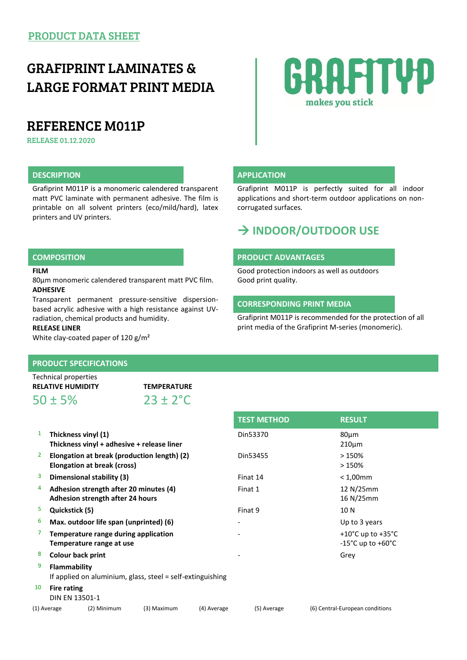## GRAFIPRINT LAMINATES & LARGE FORMAT PRINT MEDIA

## REFERENCE M011P

RELEASE 01.12.2020

### **DESCRIPTION APPLICATION**

Grafiprint M011P is a monomeric calendered transparent matt PVC laminate with permanent adhesive. The film is printable on all solvent printers (eco/mild/hard), latex printers and UV printers.

#### **FILM**

80µm monomeric calendered transparent matt PVC film. **ADHESIVE**

Transparent permanent pressure-sensitive dispersionbased acrylic adhesive with a high resistance against UVradiation, chemical products and humidity.

#### **RELEASE LINER**

White clay-coated paper of 120 g/m<sup>2</sup>

#### **PRODUCT SPECIFICATIONS**

| Technical properties     |                      |
|--------------------------|----------------------|
| <b>RELATIVE HUMIDITY</b> | <b>TEMPERATURE</b>   |
| $50 \pm 5\%$             | $23 \pm 2^{\circ}$ C |

| 1           | Thickness vinyl (1)<br>Thickness vinyl + adhesive + release liner                 |                                                                            |                                             |             | Din53370    | $80 \mu m$<br>$210 \mu m$                                                        |  |  |
|-------------|-----------------------------------------------------------------------------------|----------------------------------------------------------------------------|---------------------------------------------|-------------|-------------|----------------------------------------------------------------------------------|--|--|
| 2.          |                                                                                   | Elongation at break (cross)                                                | Elongation at break (production length) (2) |             | Din53455    | >150%<br>>150%                                                                   |  |  |
| 3           |                                                                                   | Dimensional stability (3)                                                  |                                             |             | Finat 14    | $< 1,00$ mm                                                                      |  |  |
| 4           |                                                                                   | Adhesion strength after 20 minutes (4)<br>Adhesion strength after 24 hours |                                             |             | Finat 1     | 12 N/25mm<br>16 N/25mm                                                           |  |  |
| 5           | Quickstick (5)                                                                    |                                                                            |                                             |             | Finat 9     | 10 N                                                                             |  |  |
| 6           |                                                                                   | Max. outdoor life span (unprinted) (6)                                     |                                             |             |             | Up to 3 years                                                                    |  |  |
|             |                                                                                   | Temperature range during application<br>Temperature range at use           |                                             |             |             | +10 $^{\circ}$ C up to +35 $^{\circ}$ C<br>$-15^{\circ}$ C up to $+60^{\circ}$ C |  |  |
| 8           |                                                                                   | <b>Colour back print</b>                                                   |                                             |             |             | Grey                                                                             |  |  |
| 9           | <b>Flammability</b><br>If applied on aluminium, glass, steel = self-extinguishing |                                                                            |                                             |             |             |                                                                                  |  |  |
| 10          | Fire rating<br>DIN EN 13501-1                                                     |                                                                            |                                             |             |             |                                                                                  |  |  |
| (1) Average |                                                                                   | (2) Minimum                                                                | (3) Maximum                                 | (4) Average | (5) Average | (6) Central-European conditions                                                  |  |  |



Grafiprint M011P is perfectly suited for all indoor applications and short-term outdoor applications on noncorrugated surfaces.

## **INDOOR/OUTDOOR USE**

#### **COMPOSITION PRODUCT ADVANTAGES**

Good protection indoors as well as outdoors Good print quality.

#### **CORRESPONDING PRINT MEDIA**

**TEST METHOD RESULT**

Grafiprint M011P is recommended for the protection of all print media of the Grafiprint M-series (monomeric).